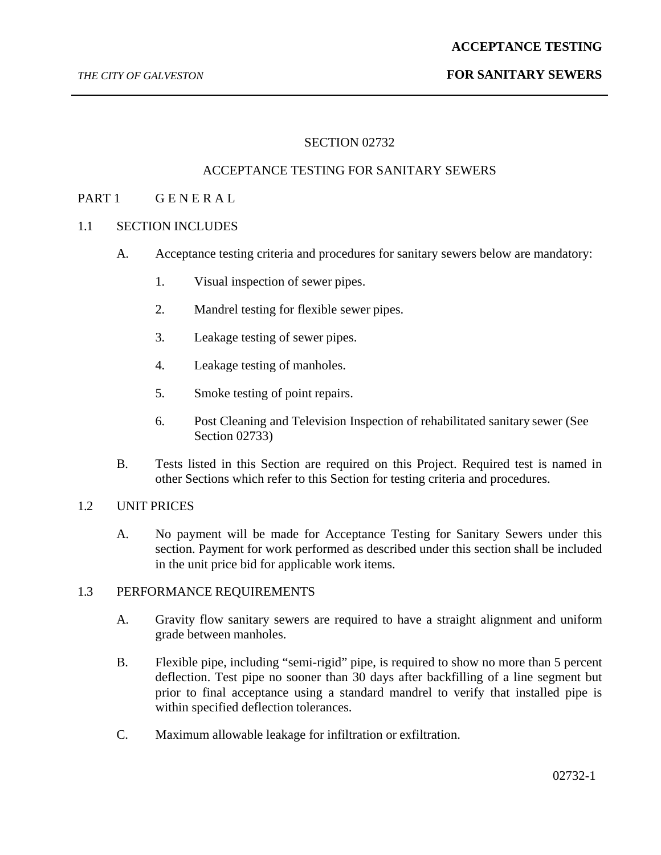## *THE CITY OF GALVESTON* **FOR SANITARY SEWERS**

## SECTION 02732

## ACCEPTANCE TESTING FOR SANITARY SEWERS

## PART 1 GENERAL

## 1.1 SECTION INCLUDES

- A. Acceptance testing criteria and procedures for sanitary sewers below are mandatory:
	- 1. Visual inspection of sewer pipes.
	- 2. Mandrel testing for flexible sewer pipes.
	- 3. Leakage testing of sewer pipes.
	- 4. Leakage testing of manholes.
	- 5. Smoke testing of point repairs.
	- 6. Post Cleaning and Television Inspection of rehabilitated sanitary sewer (See Section 02733)
- B. Tests listed in this Section are required on this Project. Required test is named in other Sections which refer to this Section for testing criteria and procedures.

## 1.2 UNIT PRICES

A. No payment will be made for Acceptance Testing for Sanitary Sewers under this section. Payment for work performed as described under this section shall be included in the unit price bid for applicable work items.

### 1.3 PERFORMANCE REQUIREMENTS

- A. Gravity flow sanitary sewers are required to have a straight alignment and uniform grade between manholes.
- B. Flexible pipe, including "semi-rigid" pipe, is required to show no more than 5 percent deflection. Test pipe no sooner than 30 days after backfilling of a line segment but prior to final acceptance using a standard mandrel to verify that installed pipe is within specified deflection tolerances.
- C. Maximum allowable leakage for infiltration or exfiltration.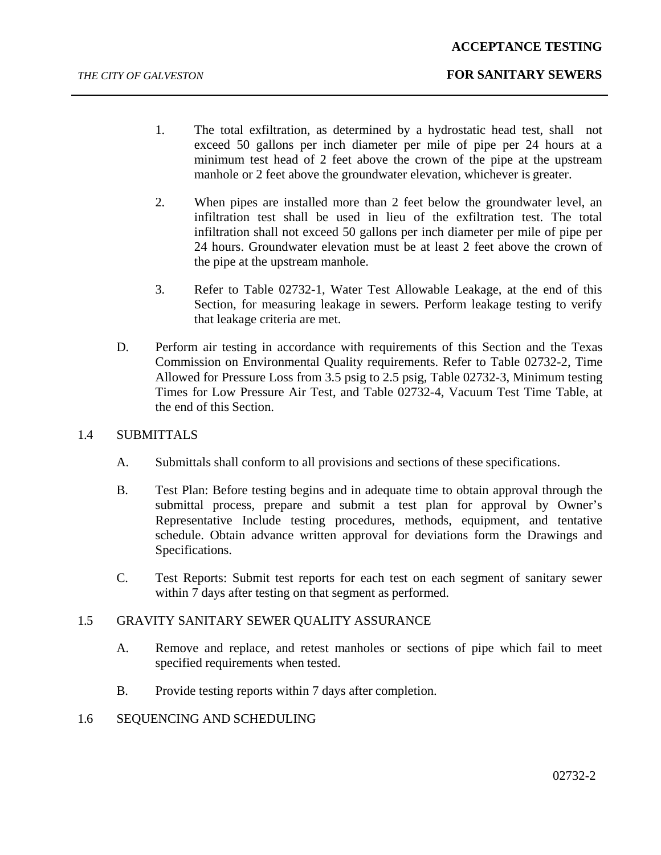- 1. The total exfiltration, as determined by a hydrostatic head test, shall not exceed 50 gallons per inch diameter per mile of pipe per 24 hours at a minimum test head of 2 feet above the crown of the pipe at the upstream manhole or 2 feet above the groundwater elevation, whichever is greater.
- 2. When pipes are installed more than 2 feet below the groundwater level, an infiltration test shall be used in lieu of the exfiltration test. The total infiltration shall not exceed 50 gallons per inch diameter per mile of pipe per 24 hours. Groundwater elevation must be at least 2 feet above the crown of the pipe at the upstream manhole.
- 3. Refer to Table 02732-1, Water Test Allowable Leakage, at the end of this Section, for measuring leakage in sewers. Perform leakage testing to verify that leakage criteria are met.
- D. Perform air testing in accordance with requirements of this Section and the Texas Commission on Environmental Quality requirements. Refer to Table 02732-2, Time Allowed for Pressure Loss from 3.5 psig to 2.5 psig, Table 02732-3, Minimum testing Times for Low Pressure Air Test, and Table 02732-4, Vacuum Test Time Table, at the end of this Section.

## 1.4 SUBMITTALS

- A. Submittals shall conform to all provisions and sections of these specifications.
- B. Test Plan: Before testing begins and in adequate time to obtain approval through the submittal process, prepare and submit a test plan for approval by Owner's Representative Include testing procedures, methods, equipment, and tentative schedule. Obtain advance written approval for deviations form the Drawings and Specifications.
- C. Test Reports: Submit test reports for each test on each segment of sanitary sewer within 7 days after testing on that segment as performed.

## 1.5 GRAVITY SANITARY SEWER QUALITY ASSURANCE

- A. Remove and replace, and retest manholes or sections of pipe which fail to meet specified requirements when tested.
- B. Provide testing reports within 7 days after completion.
- 1.6 SEQUENCING AND SCHEDULING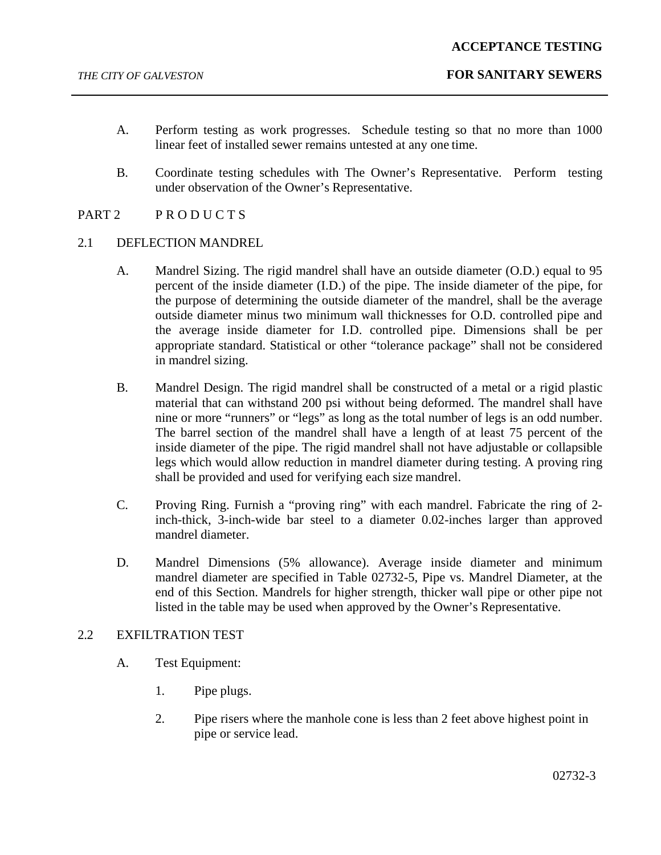- A. Perform testing as work progresses. Schedule testing so that no more than 1000 linear feet of installed sewer remains untested at any one time.
- B. Coordinate testing schedules with The Owner's Representative. Perform testing under observation of the Owner's Representative.
- PART 2 PRODUCTS

## 2.1 DEFLECTION MANDREL

- A. Mandrel Sizing. The rigid mandrel shall have an outside diameter (O.D.) equal to 95 percent of the inside diameter (I.D.) of the pipe. The inside diameter of the pipe, for the purpose of determining the outside diameter of the mandrel, shall be the average outside diameter minus two minimum wall thicknesses for O.D. controlled pipe and the average inside diameter for I.D. controlled pipe. Dimensions shall be per appropriate standard. Statistical or other "tolerance package" shall not be considered in mandrel sizing.
- B. Mandrel Design. The rigid mandrel shall be constructed of a metal or a rigid plastic material that can withstand 200 psi without being deformed. The mandrel shall have nine or more "runners" or "legs" as long as the total number of legs is an odd number. The barrel section of the mandrel shall have a length of at least 75 percent of the inside diameter of the pipe. The rigid mandrel shall not have adjustable or collapsible legs which would allow reduction in mandrel diameter during testing. A proving ring shall be provided and used for verifying each size mandrel.
- C. Proving Ring. Furnish a "proving ring" with each mandrel. Fabricate the ring of 2 inch-thick, 3-inch-wide bar steel to a diameter 0.02-inches larger than approved mandrel diameter.
- D. Mandrel Dimensions (5% allowance). Average inside diameter and minimum mandrel diameter are specified in Table 02732-5, Pipe vs. Mandrel Diameter, at the end of this Section. Mandrels for higher strength, thicker wall pipe or other pipe not listed in the table may be used when approved by the Owner's Representative.

## 2.2 EXFILTRATION TEST

- A. Test Equipment:
	- 1. Pipe plugs.
	- 2. Pipe risers where the manhole cone is less than 2 feet above highest point in pipe or service lead.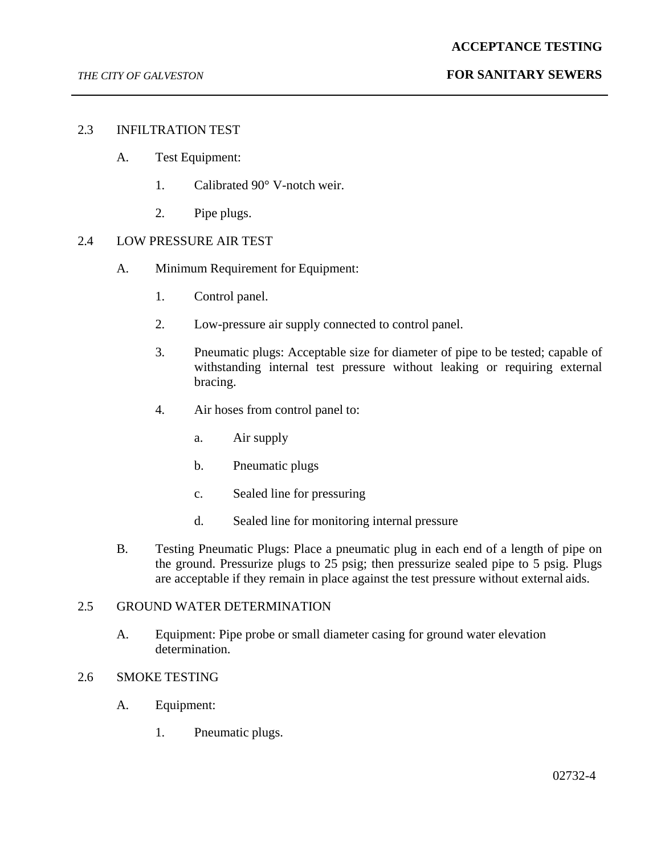## 2.3 INFILTRATION TEST

- A. Test Equipment:
	- 1. Calibrated 90° V-notch weir.
	- 2. Pipe plugs.

### 2.4 LOW PRESSURE AIR TEST

- A. Minimum Requirement for Equipment:
	- 1. Control panel.
	- 2. Low-pressure air supply connected to control panel.
	- 3. Pneumatic plugs: Acceptable size for diameter of pipe to be tested; capable of withstanding internal test pressure without leaking or requiring external bracing.
	- 4. Air hoses from control panel to:
		- a. Air supply
		- b. Pneumatic plugs
		- c. Sealed line for pressuring
		- d. Sealed line for monitoring internal pressure
- B. Testing Pneumatic Plugs: Place a pneumatic plug in each end of a length of pipe on the ground. Pressurize plugs to 25 psig; then pressurize sealed pipe to 5 psig. Plugs are acceptable if they remain in place against the test pressure without external aids.

## 2.5 GROUND WATER DETERMINATION

A. Equipment: Pipe probe or small diameter casing for ground water elevation determination.

## 2.6 SMOKE TESTING

- A. Equipment:
	- 1. Pneumatic plugs.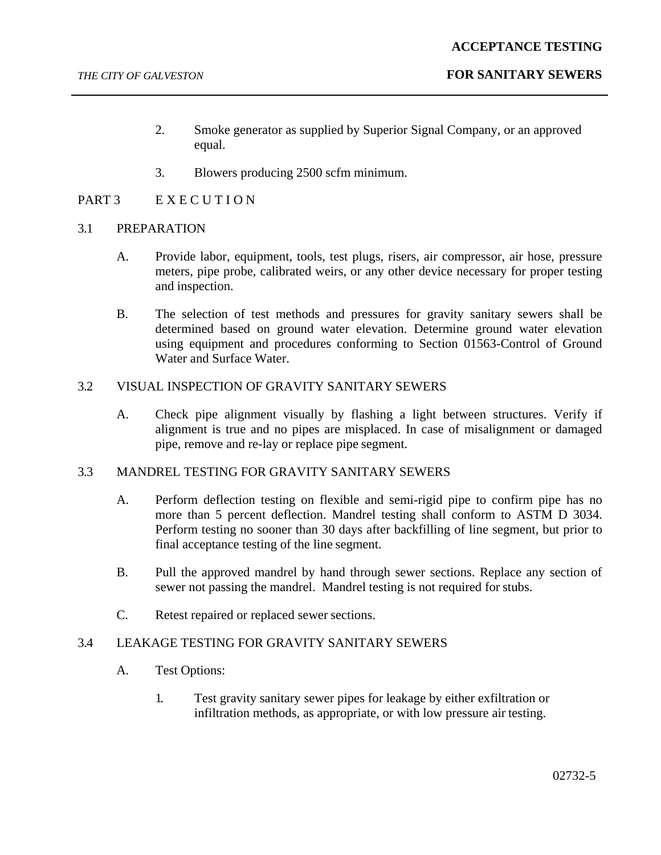- 2. Smoke generator as supplied by Superior Signal Company, or an approved equal.
- 3. Blowers producing 2500 scfm minimum.

## PART 3 EXECUTION

## 3.1 PREPARATION

- A. Provide labor, equipment, tools, test plugs, risers, air compressor, air hose, pressure meters, pipe probe, calibrated weirs, or any other device necessary for proper testing and inspection.
- B. The selection of test methods and pressures for gravity sanitary sewers shall be determined based on ground water elevation. Determine ground water elevation using equipment and procedures conforming to Section 01563-Control of Ground Water and Surface Water.

## 3.2 VISUAL INSPECTION OF GRAVITY SANITARY SEWERS

A. Check pipe alignment visually by flashing a light between structures. Verify if alignment is true and no pipes are misplaced. In case of misalignment or damaged pipe, remove and re-lay or replace pipe segment.

## 3.3 MANDREL TESTING FOR GRAVITY SANITARY SEWERS

- A. Perform deflection testing on flexible and semi-rigid pipe to confirm pipe has no more than 5 percent deflection. Mandrel testing shall conform to ASTM D 3034. Perform testing no sooner than 30 days after backfilling of line segment, but prior to final acceptance testing of the line segment.
- B. Pull the approved mandrel by hand through sewer sections. Replace any section of sewer not passing the mandrel. Mandrel testing is not required for stubs.
- C. Retest repaired or replaced sewer sections.

## 3.4 LEAKAGE TESTING FOR GRAVITY SANITARY SEWERS

- A. Test Options:
	- 1. Test gravity sanitary sewer pipes for leakage by either exfiltration or infiltration methods, as appropriate, or with low pressure air testing.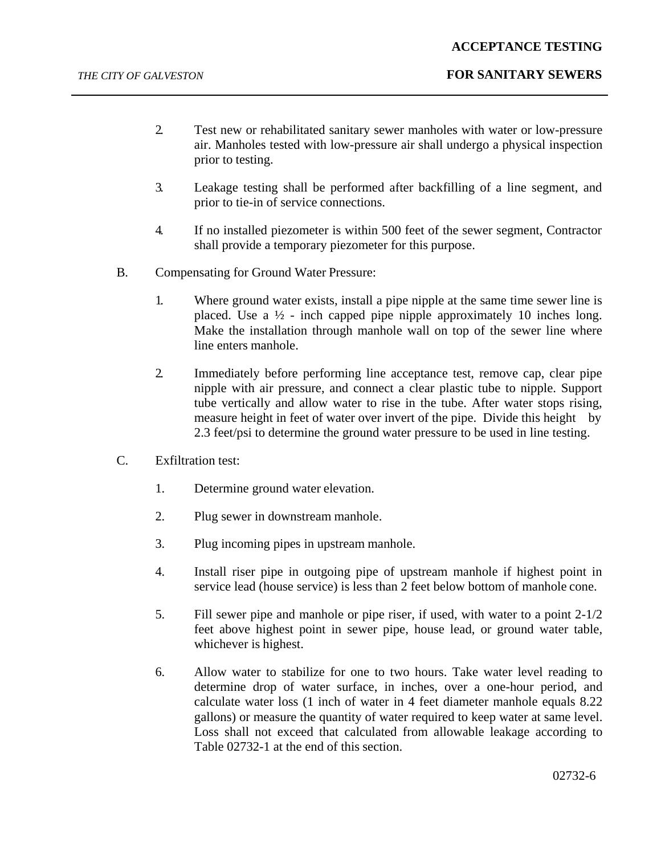- 2. Test new or rehabilitated sanitary sewer manholes with water or low-pressure air. Manholes tested with low-pressure air shall undergo a physical inspection prior to testing.
- 3. Leakage testing shall be performed after backfilling of a line segment, and prior to tie-in of service connections.
- 4. If no installed piezometer is within 500 feet of the sewer segment, Contractor shall provide a temporary piezometer for this purpose.
- B. Compensating for Ground Water Pressure:
	- 1. Where ground water exists, install a pipe nipple at the same time sewer line is placed. Use a  $\frac{1}{2}$  - inch capped pipe nipple approximately 10 inches long. Make the installation through manhole wall on top of the sewer line where line enters manhole.
	- 2. Immediately before performing line acceptance test, remove cap, clear pipe nipple with air pressure, and connect a clear plastic tube to nipple. Support tube vertically and allow water to rise in the tube. After water stops rising, measure height in feet of water over invert of the pipe. Divide this height by 2.3 feet/psi to determine the ground water pressure to be used in line testing.
- C. Exfiltration test:
	- 1. Determine ground water elevation.
	- 2. Plug sewer in downstream manhole.
	- 3. Plug incoming pipes in upstream manhole.
	- 4. Install riser pipe in outgoing pipe of upstream manhole if highest point in service lead (house service) is less than 2 feet below bottom of manhole cone.
	- 5. Fill sewer pipe and manhole or pipe riser, if used, with water to a point 2-1/2 feet above highest point in sewer pipe, house lead, or ground water table, whichever is highest.
	- 6. Allow water to stabilize for one to two hours. Take water level reading to determine drop of water surface, in inches, over a one-hour period, and calculate water loss (1 inch of water in 4 feet diameter manhole equals 8.22 gallons) or measure the quantity of water required to keep water at same level. Loss shall not exceed that calculated from allowable leakage according to Table 02732-1 at the end of this section.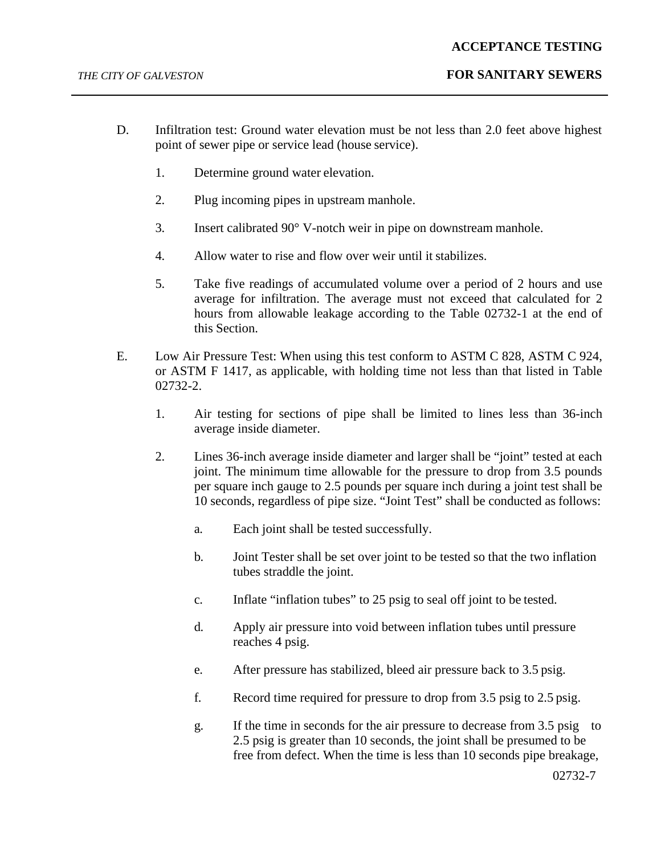- D. Infiltration test: Ground water elevation must be not less than 2.0 feet above highest point of sewer pipe or service lead (house service).
	- 1. Determine ground water elevation.
	- 2. Plug incoming pipes in upstream manhole.
	- 3. Insert calibrated 90° V-notch weir in pipe on downstream manhole.
	- 4. Allow water to rise and flow over weir until it stabilizes.
	- 5. Take five readings of accumulated volume over a period of 2 hours and use average for infiltration. The average must not exceed that calculated for 2 hours from allowable leakage according to the Table 02732-1 at the end of this Section.
- E. Low Air Pressure Test: When using this test conform to ASTM C 828, ASTM C 924, or ASTM F 1417, as applicable, with holding time not less than that listed in Table 02732-2.
	- 1. Air testing for sections of pipe shall be limited to lines less than 36-inch average inside diameter.
	- 2. Lines 36-inch average inside diameter and larger shall be "joint" tested at each joint. The minimum time allowable for the pressure to drop from 3.5 pounds per square inch gauge to 2.5 pounds per square inch during a joint test shall be 10 seconds, regardless of pipe size. "Joint Test" shall be conducted as follows:
		- a. Each joint shall be tested successfully.
		- b. Joint Tester shall be set over joint to be tested so that the two inflation tubes straddle the joint.
		- c. Inflate "inflation tubes" to 25 psig to seal off joint to be tested.
		- d. Apply air pressure into void between inflation tubes until pressure reaches 4 psig.
		- e. After pressure has stabilized, bleed air pressure back to 3.5 psig.
		- f. Record time required for pressure to drop from 3.5 psig to 2.5 psig.
		- g. If the time in seconds for the air pressure to decrease from 3.5 psig to 2.5 psig is greater than 10 seconds, the joint shall be presumed to be free from defect. When the time is less than 10 seconds pipe breakage,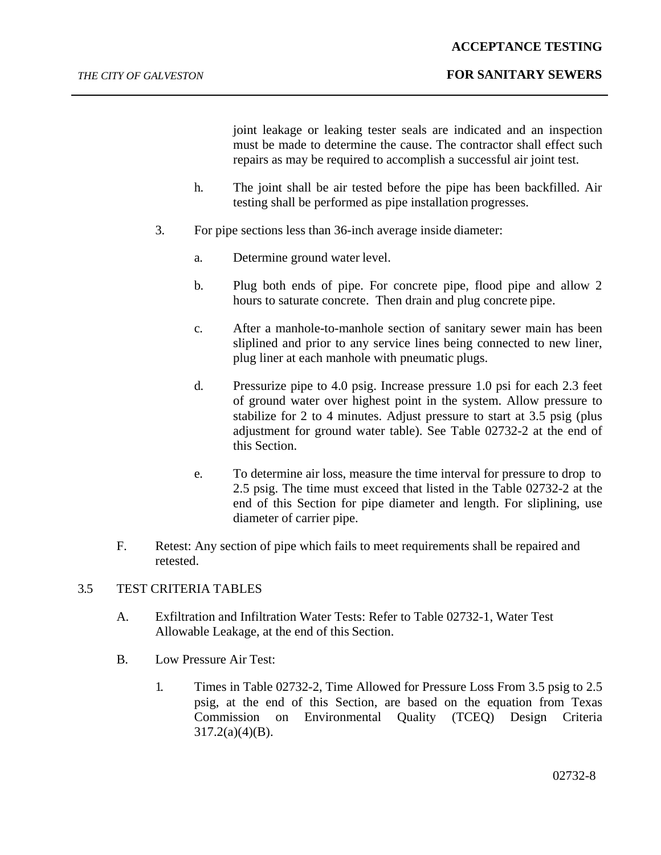## *THE CITY OF GALVESTON* **FOR SANITARY SEWERS**

joint leakage or leaking tester seals are indicated and an inspection must be made to determine the cause. The contractor shall effect such repairs as may be required to accomplish a successful air joint test.

- h. The joint shall be air tested before the pipe has been backfilled. Air testing shall be performed as pipe installation progresses.
- 3. For pipe sections less than 36-inch average inside diameter:
	- a. Determine ground water level.
	- b. Plug both ends of pipe. For concrete pipe, flood pipe and allow 2 hours to saturate concrete. Then drain and plug concrete pipe.
	- c. After a manhole-to-manhole section of sanitary sewer main has been sliplined and prior to any service lines being connected to new liner, plug liner at each manhole with pneumatic plugs.
	- d. Pressurize pipe to 4.0 psig. Increase pressure 1.0 psi for each 2.3 feet of ground water over highest point in the system. Allow pressure to stabilize for 2 to 4 minutes. Adjust pressure to start at 3.5 psig (plus adjustment for ground water table). See Table 02732-2 at the end of this Section.
	- e. To determine air loss, measure the time interval for pressure to drop to 2.5 psig. The time must exceed that listed in the Table 02732-2 at the end of this Section for pipe diameter and length. For sliplining, use diameter of carrier pipe.
- F. Retest: Any section of pipe which fails to meet requirements shall be repaired and retested.

## 3.5 TEST CRITERIA TABLES

- A. Exfiltration and Infiltration Water Tests: Refer to Table 02732-1, Water Test Allowable Leakage, at the end of this Section.
- B. Low Pressure Air Test:
	- 1. Times in Table 02732-2, Time Allowed for Pressure Loss From 3.5 psig to 2.5 psig, at the end of this Section, are based on the equation from Texas Commission on Environmental Quality (TCEQ) Design Criteria  $317.2(a)(4)(B)$ .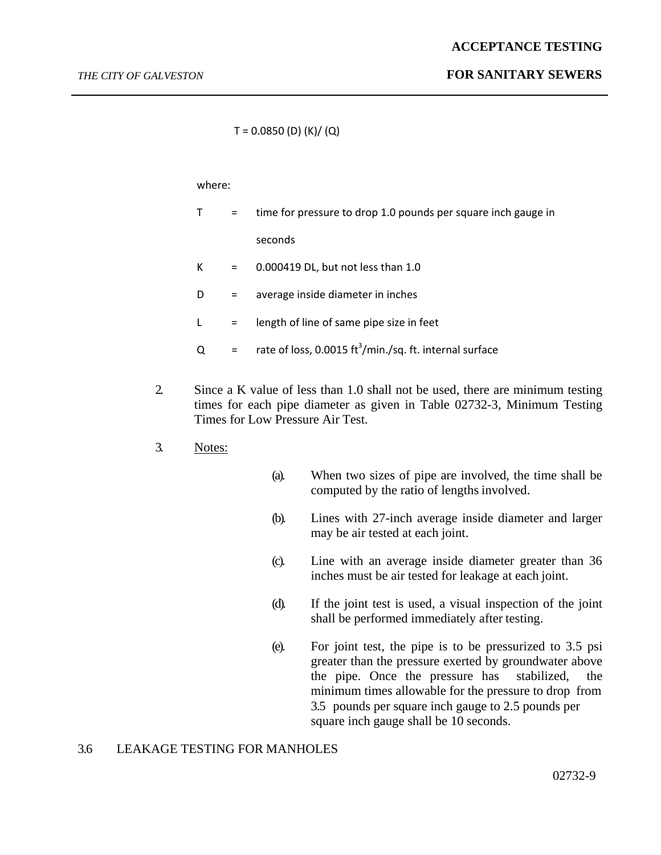$T = 0.0850$  (D) (K)/ (Q)

### where:

|   |     | time for pressure to drop 1.0 pounds per square inch gauge in       |
|---|-----|---------------------------------------------------------------------|
|   |     | seconds                                                             |
| К | $=$ | 0.000419 DL, but not less than 1.0                                  |
| D | $=$ | average inside diameter in inches                                   |
|   | $=$ | length of line of same pipe size in feet                            |
| Q | $=$ | rate of loss, 0.0015 ft <sup>3</sup> /min./sq. ft. internal surface |

- 2. Since a K value of less than 1.0 shall not be used, there are minimum testing times for each pipe diameter as given in Table 02732-3, Minimum Testing Times for Low Pressure Air Test.
- 3. Notes:
- (a). When two sizes of pipe are involved, the time shall be computed by the ratio of lengths involved.
- (b). Lines with 27-inch average inside diameter and larger may be air tested at each joint.
- (c). Line with an average inside diameter greater than 36 inches must be air tested for leakage at each joint.
- (d). If the joint test is used, a visual inspection of the joint shall be performed immediately after testing.
- (e). For joint test, the pipe is to be pressurized to 3.5 psi greater than the pressure exerted by groundwater above the pipe. Once the pressure has stabilized, the minimum times allowable for the pressure to drop from 3.5 pounds per square inch gauge to 2.5 pounds per square inch gauge shall be 10 seconds.

## 3.6 LEAKAGE TESTING FOR MANHOLES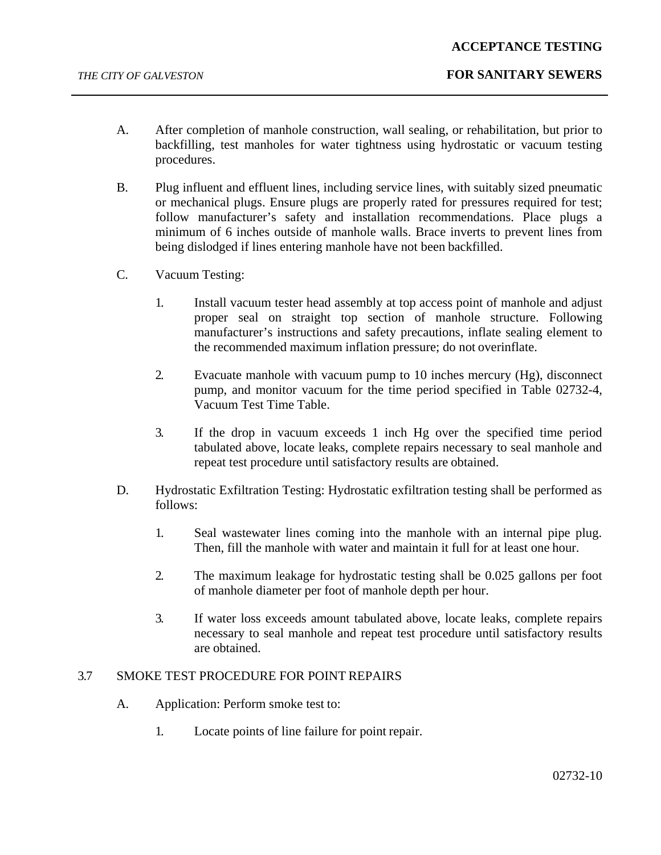- A. After completion of manhole construction, wall sealing, or rehabilitation, but prior to backfilling, test manholes for water tightness using hydrostatic or vacuum testing procedures.
- B. Plug influent and effluent lines, including service lines, with suitably sized pneumatic or mechanical plugs. Ensure plugs are properly rated for pressures required for test; follow manufacturer's safety and installation recommendations. Place plugs a minimum of 6 inches outside of manhole walls. Brace inverts to prevent lines from being dislodged if lines entering manhole have not been backfilled.
- C. Vacuum Testing:
	- 1. Install vacuum tester head assembly at top access point of manhole and adjust proper seal on straight top section of manhole structure. Following manufacturer's instructions and safety precautions, inflate sealing element to the recommended maximum inflation pressure; do not overinflate.
	- 2. Evacuate manhole with vacuum pump to 10 inches mercury (Hg), disconnect pump, and monitor vacuum for the time period specified in Table 02732-4, Vacuum Test Time Table.
	- 3. If the drop in vacuum exceeds 1 inch Hg over the specified time period tabulated above, locate leaks, complete repairs necessary to seal manhole and repeat test procedure until satisfactory results are obtained.
- D. Hydrostatic Exfiltration Testing: Hydrostatic exfiltration testing shall be performed as follows:
	- 1. Seal wastewater lines coming into the manhole with an internal pipe plug. Then, fill the manhole with water and maintain it full for at least one hour.
	- 2. The maximum leakage for hydrostatic testing shall be 0.025 gallons per foot of manhole diameter per foot of manhole depth per hour.
	- 3. If water loss exceeds amount tabulated above, locate leaks, complete repairs necessary to seal manhole and repeat test procedure until satisfactory results are obtained.

## 3.7 SMOKE TEST PROCEDURE FOR POINT REPAIRS

- A. Application: Perform smoke test to:
	- 1. Locate points of line failure for point repair.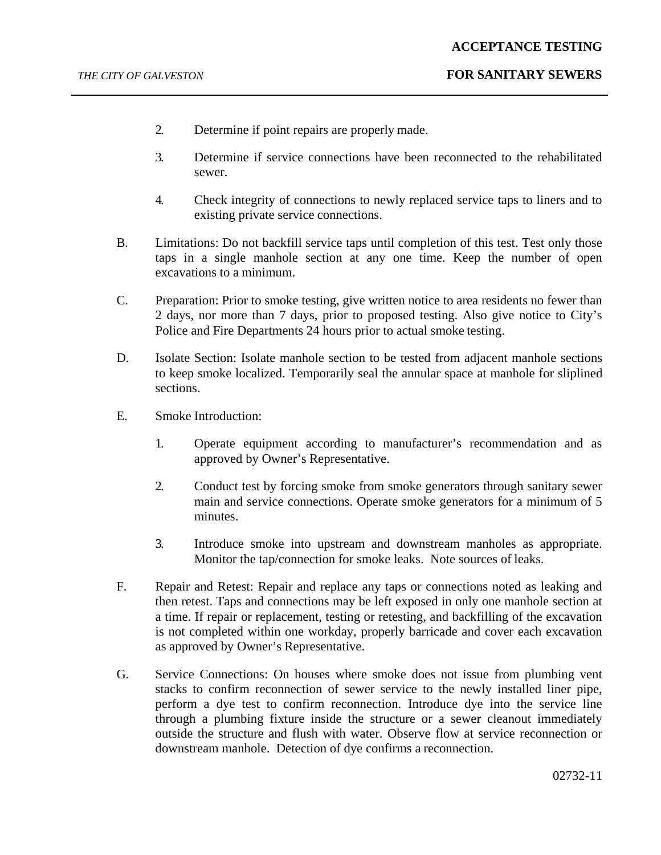- 2. Determine if point repairs are properly made.
- 3. Determine if service connections have been reconnected to the rehabilitated sewer.
- 4. Check integrity of connections to newly replaced service taps to liners and to existing private service connections.
- B. Limitations: Do not backfill service taps until completion of this test. Test only those taps in a single manhole section at any one time. Keep the number of open excavations to a minimum.
- C. Preparation: Prior to smoke testing, give written notice to area residents no fewer than 2 days, nor more than 7 days, prior to proposed testing. Also give notice to City's Police and Fire Departments 24 hours prior to actual smoke testing.
- D. Isolate Section: Isolate manhole section to be tested from adjacent manhole sections to keep smoke localized. Temporarily seal the annular space at manhole for sliplined sections.
- E. Smoke Introduction:
	- 1. Operate equipment according to manufacturer's recommendation and as approved by Owner's Representative.
	- 2. Conduct test by forcing smoke from smoke generators through sanitary sewer main and service connections. Operate smoke generators for a minimum of 5 minutes.
	- 3. Introduce smoke into upstream and downstream manholes as appropriate. Monitor the tap/connection for smoke leaks. Note sources of leaks.
- F. Repair and Retest: Repair and replace any taps or connections noted as leaking and then retest. Taps and connections may be left exposed in only one manhole section at a time. If repair or replacement, testing or retesting, and backfilling of the excavation is not completed within one workday, properly barricade and cover each excavation as approved by Owner's Representative.
- G. Service Connections: On houses where smoke does not issue from plumbing vent stacks to confirm reconnection of sewer service to the newly installed liner pipe, perform a dye test to confirm reconnection. Introduce dye into the service line through a plumbing fixture inside the structure or a sewer cleanout immediately outside the structure and flush with water. Observe flow at service reconnection or downstream manhole. Detection of dye confirms a reconnection.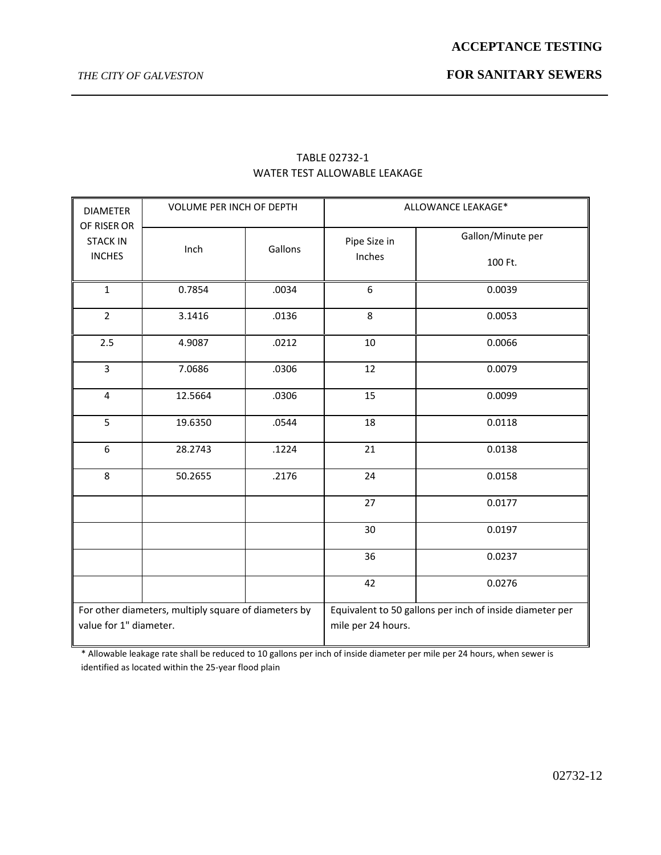| <b>DIAMETER</b><br>OF RISER OR   | <b>VOLUME PER INCH OF DEPTH</b>                      |         | ALLOWANCE LEAKAGE*     |                                                          |  |
|----------------------------------|------------------------------------------------------|---------|------------------------|----------------------------------------------------------|--|
| <b>STACK IN</b><br><b>INCHES</b> | Inch                                                 | Gallons | Pipe Size in<br>Inches | Gallon/Minute per<br>100 Ft.                             |  |
| $\mathbf{1}$                     | 0.7854                                               | .0034   | 6                      | 0.0039                                                   |  |
| $\overline{2}$                   | 3.1416                                               | .0136   | 8                      | 0.0053                                                   |  |
| 2.5                              | 4.9087                                               | .0212   | 10                     | 0.0066                                                   |  |
| $\overline{3}$                   | 7.0686                                               | .0306   | 12                     | 0.0079                                                   |  |
| $\overline{4}$                   | 12.5664                                              | .0306   | 15                     | 0.0099                                                   |  |
| 5                                | 19.6350                                              | .0544   | 18                     | 0.0118                                                   |  |
| 6                                | 28.2743                                              | .1224   | 21                     | 0.0138                                                   |  |
| 8                                | 50.2655                                              | .2176   | 24                     | 0.0158                                                   |  |
|                                  |                                                      |         | 27                     | 0.0177                                                   |  |
|                                  |                                                      |         | 30                     | 0.0197                                                   |  |
|                                  |                                                      |         | 36                     | 0.0237                                                   |  |
|                                  |                                                      |         | 42                     | 0.0276                                                   |  |
| value for 1" diameter.           | For other diameters, multiply square of diameters by |         | mile per 24 hours.     | Equivalent to 50 gallons per inch of inside diameter per |  |

## TABLE 02732-1 WATER TEST ALLOWABLE LEAKAGE

\* Allowable leakage rate shall be reduced to 10 gallons per inch of inside diameter per mile per 24 hours, when sewer is identified as located within the 25-year flood plain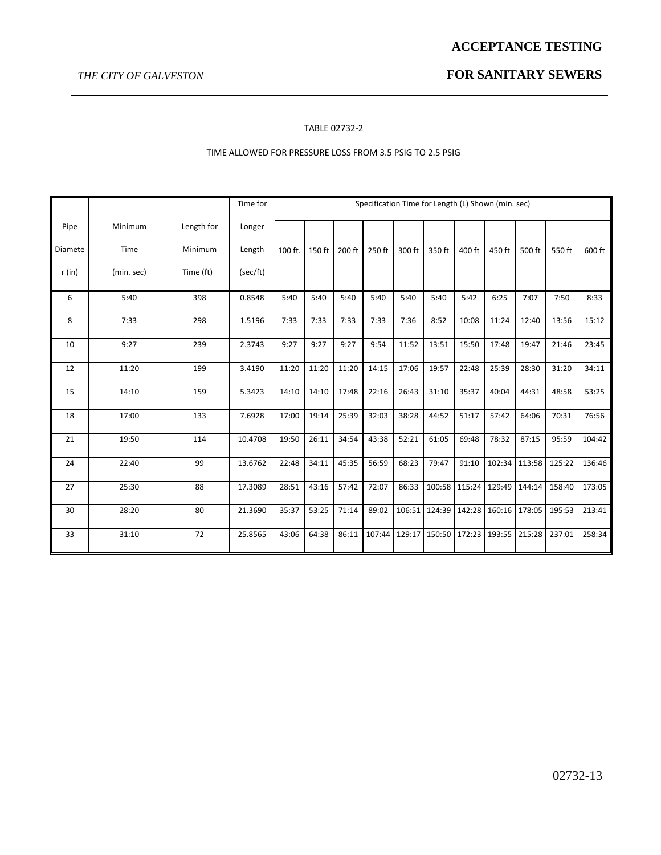## *THE CITY OF GALVESTON* **FOR SANITARY SEWERS**

#### TABLE 02732-2

### TIME ALLOWED FOR PRESSURE LOSS FROM 3.5 PSIG TO 2.5 PSIG

|         |            |            | Time for | Specification Time for Length (L) Shown (min. sec) |        |        |        |        |               |        |        |               |        |        |
|---------|------------|------------|----------|----------------------------------------------------|--------|--------|--------|--------|---------------|--------|--------|---------------|--------|--------|
| Pipe    | Minimum    | Length for | Longer   |                                                    |        |        |        |        |               |        |        |               |        |        |
| Diamete | Time       | Minimum    | Length   | 100 ft.                                            | 150 ft | 200 ft | 250 ft | 300 ft | 350 ft        | 400 ft | 450 ft | 500 ft        | 550 ft | 600 ft |
| r(in)   | (min. sec) | Time (ft)  | (sec/ft) |                                                    |        |        |        |        |               |        |        |               |        |        |
| 6       | 5:40       | 398        | 0.8548   | 5:40                                               | 5:40   | 5:40   | 5:40   | 5:40   | 5:40          | 5:42   | 6:25   | 7:07          | 7:50   | 8:33   |
| 8       | 7:33       | 298        | 1.5196   | 7:33                                               | 7:33   | 7:33   | 7:33   | 7:36   | 8:52          | 10:08  | 11:24  | 12:40         | 13:56  | 15:12  |
| 10      | 9:27       | 239        | 2.3743   | 9:27                                               | 9:27   | 9:27   | 9:54   | 11:52  | 13:51         | 15:50  | 17:48  | 19:47         | 21:46  | 23:45  |
| 12      | 11:20      | 199        | 3.4190   | 11:20                                              | 11:20  | 11:20  | 14:15  | 17:06  | 19:57         | 22:48  | 25:39  | 28:30         | 31:20  | 34:11  |
| 15      | 14:10      | 159        | 5.3423   | 14:10                                              | 14:10  | 17:48  | 22:16  | 26:43  | 31:10         | 35:37  | 40:04  | 44:31         | 48:58  | 53:25  |
| 18      | 17:00      | 133        | 7.6928   | 17:00                                              | 19:14  | 25:39  | 32:03  | 38:28  | 44:52         | 51:17  | 57:42  | 64:06         | 70:31  | 76:56  |
| 21      | 19:50      | 114        | 10.4708  | 19:50                                              | 26:11  | 34:54  | 43:38  | 52:21  | 61:05         | 69:48  | 78:32  | 87:15         | 95:59  | 104:42 |
| 24      | 22:40      | 99         | 13.6762  | 22:48                                              | 34:11  | 45:35  | 56:59  | 68:23  | 79:47         | 91:10  |        | 102:34 113:58 | 125:22 | 136:46 |
| 27      | 25:30      | 88         | 17.3089  | 28:51                                              | 43:16  | 57:42  | 72:07  | 86:33  | 100:58 115:24 |        | 129:49 | 144:14        | 158:40 | 173:05 |
| 30      | 28:20      | 80         | 21.3690  | 35:37                                              | 53:25  | 71:14  | 89:02  | 106:51 | 124:39 142:28 |        |        | 160:16 178:05 | 195:53 | 213:41 |
| 33      | 31:10      | 72         | 25.8565  | 43:06                                              | 64:38  | 86:11  | 107:44 | 129:17 | 150:50 172:23 |        |        | 193:55 215:28 | 237:01 | 258:34 |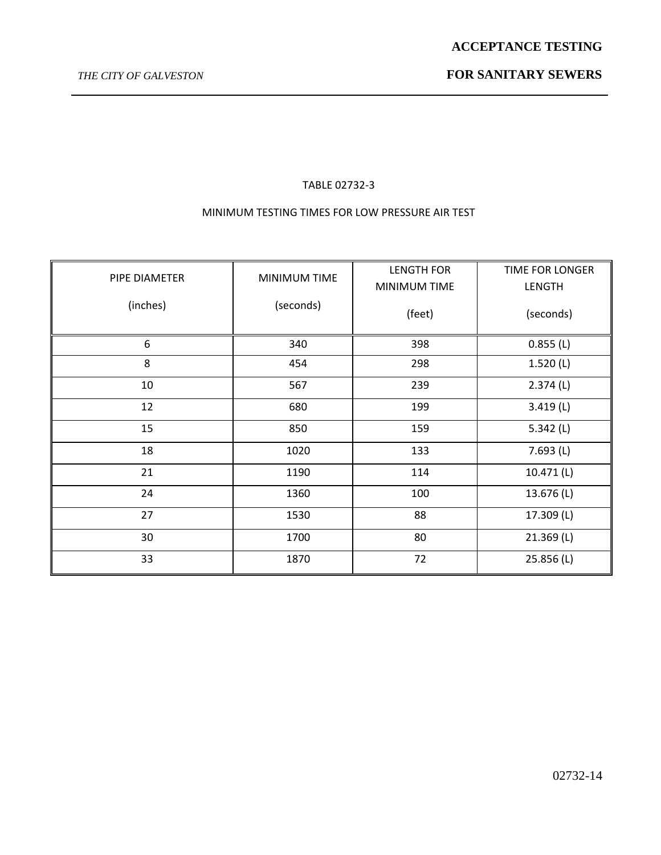## TABLE 02732-3

## MINIMUM TESTING TIMES FOR LOW PRESSURE AIR TEST

| PIPE DIAMETER | <b>MINIMUM TIME</b> | <b>LENGTH FOR</b><br>MINIMUM TIME | TIME FOR LONGER<br>LENGTH |
|---------------|---------------------|-----------------------------------|---------------------------|
| (inches)      | (seconds)           | (feet)                            | (seconds)                 |
| 6             | 340                 | 398                               | 0.855(L)                  |
| 8             | 454                 | 298                               | 1.520(L)                  |
| 10            | 567                 | 239                               | 2.374(L)                  |
| 12            | 680                 | 199                               | 3.419(L)                  |
| 15            | 850                 | 159                               | 5.342(L)                  |
| 18            | 1020                | 133                               | 7.693(L)                  |
| 21            | 1190                | 114                               | 10.471 (L)                |
| 24            | 1360                | 100                               | 13.676 (L)                |
| 27            | 1530                | 88                                | 17.309 (L)                |
| 30            | 1700                | 80                                | 21.369 (L)                |
| 33            | 1870                | 72                                | 25.856 (L)                |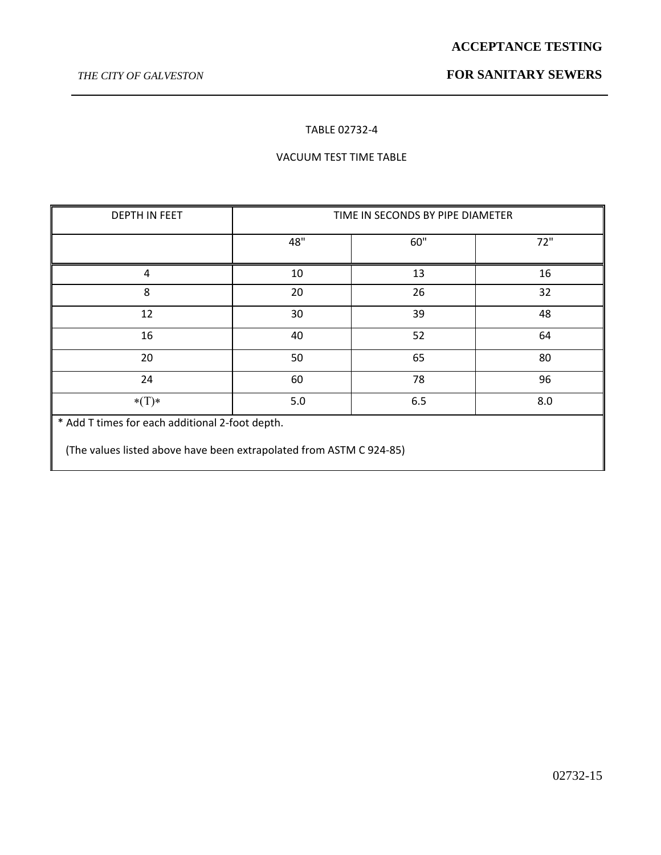### TABLE 02732-4

## VACUUM TEST TIME TABLE

| <b>DEPTH IN FEET</b>                            | TIME IN SECONDS BY PIPE DIAMETER |     |     |  |  |
|-------------------------------------------------|----------------------------------|-----|-----|--|--|
|                                                 | 48"                              | 60" | 72" |  |  |
| 4                                               | 10                               | 13  | 16  |  |  |
| 8                                               | 20                               | 26  | 32  |  |  |
| 12                                              | 30                               | 39  | 48  |  |  |
| 16                                              | 40                               | 52  | 64  |  |  |
| 20                                              | 50                               | 65  | 80  |  |  |
| 24                                              | 60                               | 78  | 96  |  |  |
| $*(T)*$                                         | 5.0                              | 6.5 | 8.0 |  |  |
| * Add T times for each additional 2-foot depth. |                                  |     |     |  |  |

(The values listed above have been extrapolated from ASTM C 924-85)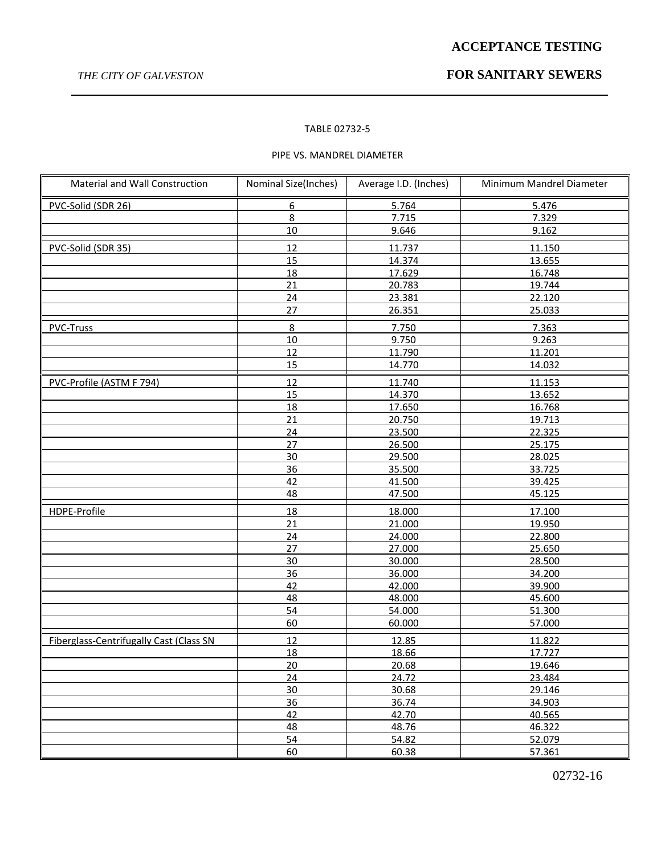## *THE CITY OF GALVESTON* **FOR SANITARY SEWERS**

#### TABLE 02732-5

### PIPE VS. MANDREL DIAMETER

| Material and Wall Construction          | Nominal Size(Inches) | Average I.D. (Inches) | Minimum Mandrel Diameter |
|-----------------------------------------|----------------------|-----------------------|--------------------------|
| PVC-Solid (SDR 26)                      | 6                    | 5.764                 | 5.476                    |
|                                         | 8                    | 7.715                 | 7.329                    |
|                                         | 10                   | 9.646                 | 9.162                    |
| PVC-Solid (SDR 35)                      | 12                   | 11.737                | 11.150                   |
|                                         | 15                   | 14.374                | 13.655                   |
|                                         | 18                   | 17.629                | 16.748                   |
|                                         | 21                   | 20.783                | 19.744                   |
|                                         | 24                   | 23.381                | 22.120                   |
|                                         | 27                   | 26.351                | 25.033                   |
| <b>PVC-Truss</b>                        | $8\phantom{1}$       | 7.750                 | 7.363                    |
|                                         | $10\,$               | 9.750                 | 9.263                    |
|                                         | 12                   | 11.790                | 11.201                   |
|                                         | 15                   | 14.770                | 14.032                   |
| PVC-Profile (ASTM F 794)                | 12                   | 11.740                | 11.153                   |
|                                         | 15                   | 14.370                | 13.652                   |
|                                         | 18                   | 17.650                | 16.768                   |
|                                         | 21                   | 20.750                | 19.713                   |
|                                         | 24                   | 23.500                | 22.325                   |
|                                         | 27                   | 26.500                | 25.175                   |
|                                         | 30                   | 29.500                | 28.025                   |
|                                         | 36                   | 35.500                | 33.725                   |
|                                         | 42                   | 41.500                | 39.425                   |
|                                         | 48                   | 47.500                | 45.125                   |
| HDPE-Profile                            | 18                   | 18.000                | 17.100                   |
|                                         | 21                   | 21.000                | 19.950                   |
|                                         | 24                   | 24.000                | 22.800                   |
|                                         | 27                   | 27.000                | 25.650                   |
|                                         | 30                   | 30.000                | 28.500                   |
|                                         | 36                   | 36.000                | 34.200                   |
|                                         | 42                   | 42.000                | 39.900                   |
|                                         | 48                   | 48.000                | 45.600                   |
|                                         | 54                   | 54.000                | 51.300                   |
|                                         | 60                   | 60.000                | 57.000                   |
| Fiberglass-Centrifugally Cast (Class SN | 12                   | 12.85                 | 11.822                   |
|                                         | 18                   | 18.66                 | 17.727                   |
|                                         | 20                   | 20.68                 | 19.646                   |
|                                         | 24                   | 24.72                 | 23.484                   |
|                                         | 30                   | 30.68                 | 29.146                   |
|                                         | 36                   | 36.74                 | 34.903                   |
|                                         | 42                   | 42.70                 | 40.565                   |
|                                         | 48                   | 48.76                 | 46.322                   |
|                                         | 54                   | 54.82                 | 52.079                   |
|                                         | 60                   | 60.38                 | 57.361                   |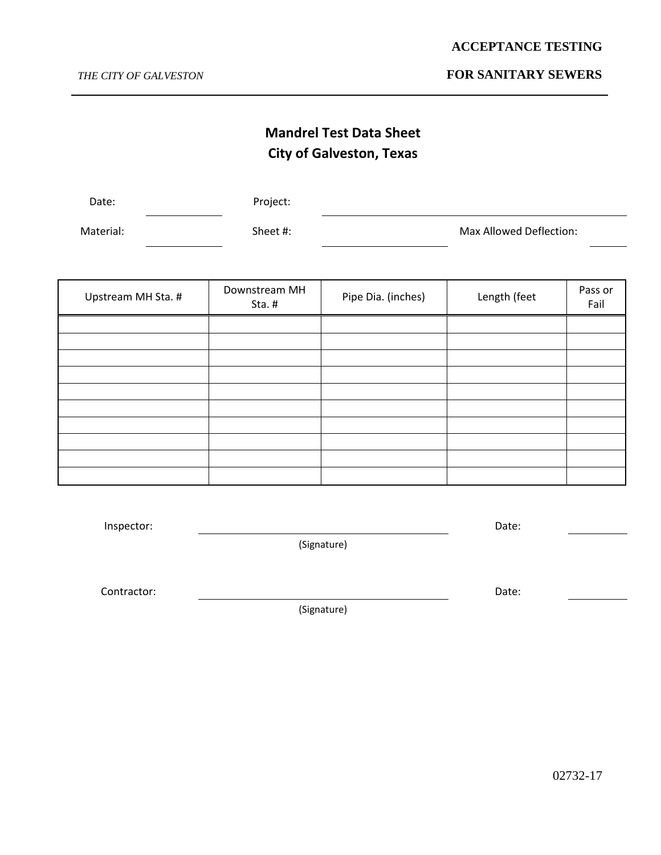## *THE CITY OF GALVESTON* **FOR SANITARY SEWERS**

# **Mandrel Test Data Sheet City of Galveston, Texas**

| Date:     | Project: |                         |
|-----------|----------|-------------------------|
| Material: | Sheet #: | Max Allowed Deflection: |

| Upstream MH Sta. # | Downstream MH<br>Sta. $#$ | Pipe Dia. (inches) | Length (feet | Pass or<br>Fail |
|--------------------|---------------------------|--------------------|--------------|-----------------|
|                    |                           |                    |              |                 |
|                    |                           |                    |              |                 |
|                    |                           |                    |              |                 |
|                    |                           |                    |              |                 |
|                    |                           |                    |              |                 |
|                    |                           |                    |              |                 |
|                    |                           |                    |              |                 |
|                    |                           |                    |              |                 |
|                    |                           |                    |              |                 |
|                    |                           |                    |              |                 |

| Inspector: |             | Date: |
|------------|-------------|-------|
|            | (Signature) |       |
|            |             |       |

Contractor: Date:

(Signature)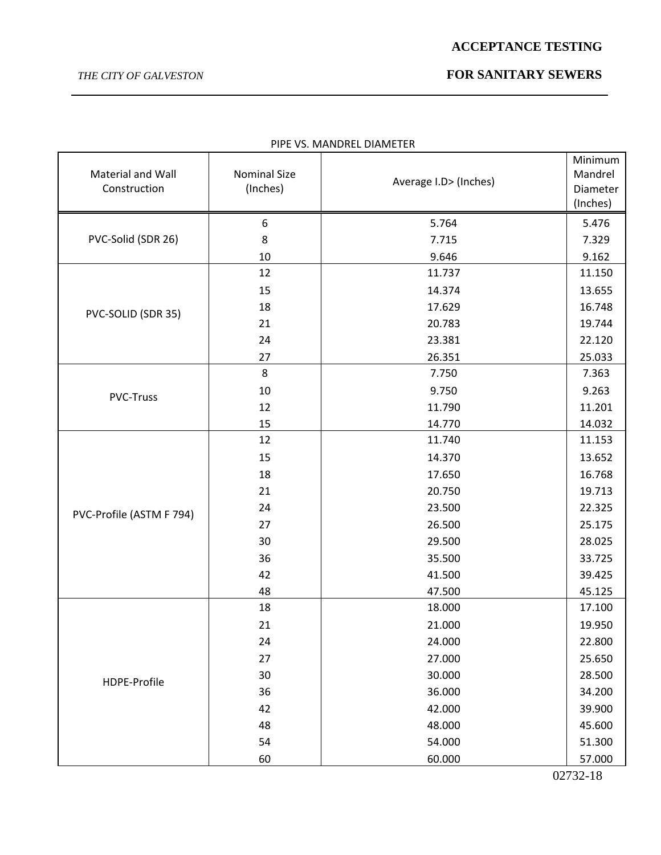## *THE CITY OF GALVESTON* **FOR SANITARY SEWERS**

| Material and Wall<br>Construction | <b>Nominal Size</b><br>(Inches) | Average I.D> (Inches) | Minimum<br>Mandrel<br>Diameter<br>(Inches) |
|-----------------------------------|---------------------------------|-----------------------|--------------------------------------------|
|                                   | 6                               | 5.764                 | 5.476                                      |
| PVC-Solid (SDR 26)                | 8                               | 7.715                 | 7.329                                      |
|                                   | 10                              | 9.646                 | 9.162                                      |
|                                   | 12                              | 11.737                | 11.150                                     |
|                                   | 15                              | 14.374                | 13.655                                     |
|                                   | 18                              | 17.629                | 16.748                                     |
| PVC-SOLID (SDR 35)                | 21                              | 20.783                | 19.744                                     |
|                                   | 24                              | 23.381                | 22.120                                     |
|                                   | 27                              | 26.351                | 25.033                                     |
|                                   | 8                               | 7.750                 | 7.363                                      |
| <b>PVC-Truss</b>                  | 10                              | 9.750                 | 9.263                                      |
|                                   | 12                              | 11.790                | 11.201                                     |
|                                   | 15                              | 14.770                | 14.032                                     |
|                                   | 12                              | 11.740                | 11.153                                     |
|                                   | 15                              | 14.370                | 13.652                                     |
|                                   | 18                              | 17.650                | 16.768                                     |
|                                   | 21                              | 20.750                | 19.713                                     |
| PVC-Profile (ASTM F 794)          | 24                              | 23.500                | 22.325                                     |
|                                   | 27                              | 26.500                | 25.175                                     |
|                                   | 30                              | 29.500                | 28.025                                     |
|                                   | 36                              | 35.500                | 33.725                                     |
|                                   | 42                              | 41.500                | 39.425                                     |
|                                   | 48                              | 47.500                | 45.125                                     |
|                                   | 18                              | 18.000                | 17.100                                     |
|                                   | 21                              | 21.000                | 19.950                                     |
|                                   | 24                              | 24.000                | 22.800                                     |
|                                   | 27                              | 27.000                | 25.650                                     |
| HDPE-Profile                      | 30                              | 30.000                | 28.500                                     |
|                                   | 36                              | 36.000                | 34.200                                     |
|                                   | 42                              | 42.000                | 39.900                                     |
|                                   | 48                              | 48.000                | 45.600                                     |
|                                   | 54                              | 54.000                | 51.300                                     |
|                                   | 60                              | 60.000                | 57.000                                     |

PIPE VS. MANDREL DIAMETER

02732-18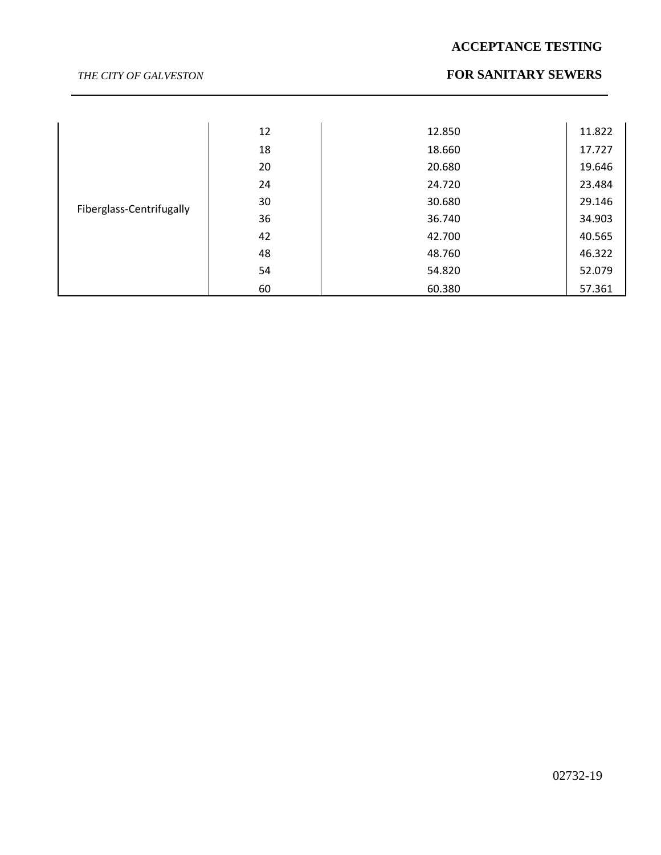## *THE CITY OF GALVESTON* **FOR SANITARY SEWERS**

|                          | 12 | 12.850 | 11.822 |
|--------------------------|----|--------|--------|
|                          | 18 | 18.660 | 17.727 |
|                          | 20 | 20.680 | 19.646 |
|                          | 24 | 24.720 | 23.484 |
| Fiberglass-Centrifugally | 30 | 30.680 | 29.146 |
|                          | 36 | 36.740 | 34.903 |
|                          | 42 | 42.700 | 40.565 |
|                          | 48 | 48.760 | 46.322 |
|                          | 54 | 54.820 | 52.079 |
|                          | 60 | 60.380 | 57.361 |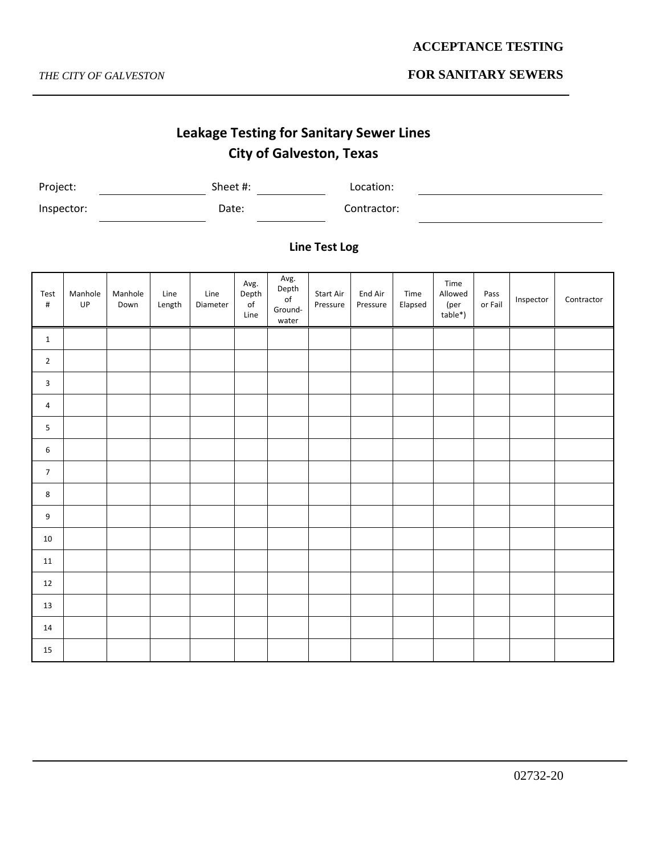## *THE CITY OF GALVESTON* **FOR SANITARY SEWERS**

# **Leakage Testing for Sanitary Sewer Lines City of Galveston, Texas**

| Project:   | Sheet #: | Location:   |
|------------|----------|-------------|
| Inspector: | Date:    | Contractor: |

## **Line Test Log**

| Test<br>$\#$   | Manhole<br>UP | Manhole<br>Down | Line<br>Length | Line<br>Diameter | Avg.<br>Depth<br>$\mathsf{of}$<br>Line | Avg.<br>Depth<br>$\mathsf{of}$<br>Ground-<br>water | Start Air<br>Pressure | End Air<br>Pressure | Time<br>Elapsed | Time<br>Allowed<br>(per<br>table*) | Pass<br>or Fail | Inspector | Contractor |
|----------------|---------------|-----------------|----------------|------------------|----------------------------------------|----------------------------------------------------|-----------------------|---------------------|-----------------|------------------------------------|-----------------|-----------|------------|
| $\mathbf{1}$   |               |                 |                |                  |                                        |                                                    |                       |                     |                 |                                    |                 |           |            |
| $\overline{2}$ |               |                 |                |                  |                                        |                                                    |                       |                     |                 |                                    |                 |           |            |
| 3              |               |                 |                |                  |                                        |                                                    |                       |                     |                 |                                    |                 |           |            |
| $\overline{4}$ |               |                 |                |                  |                                        |                                                    |                       |                     |                 |                                    |                 |           |            |
| 5              |               |                 |                |                  |                                        |                                                    |                       |                     |                 |                                    |                 |           |            |
| 6              |               |                 |                |                  |                                        |                                                    |                       |                     |                 |                                    |                 |           |            |
| $\overline{7}$ |               |                 |                |                  |                                        |                                                    |                       |                     |                 |                                    |                 |           |            |
| 8              |               |                 |                |                  |                                        |                                                    |                       |                     |                 |                                    |                 |           |            |
| 9              |               |                 |                |                  |                                        |                                                    |                       |                     |                 |                                    |                 |           |            |
| 10             |               |                 |                |                  |                                        |                                                    |                       |                     |                 |                                    |                 |           |            |
| 11             |               |                 |                |                  |                                        |                                                    |                       |                     |                 |                                    |                 |           |            |
| 12             |               |                 |                |                  |                                        |                                                    |                       |                     |                 |                                    |                 |           |            |
| 13             |               |                 |                |                  |                                        |                                                    |                       |                     |                 |                                    |                 |           |            |
| 14             |               |                 |                |                  |                                        |                                                    |                       |                     |                 |                                    |                 |           |            |
| 15             |               |                 |                |                  |                                        |                                                    |                       |                     |                 |                                    |                 |           |            |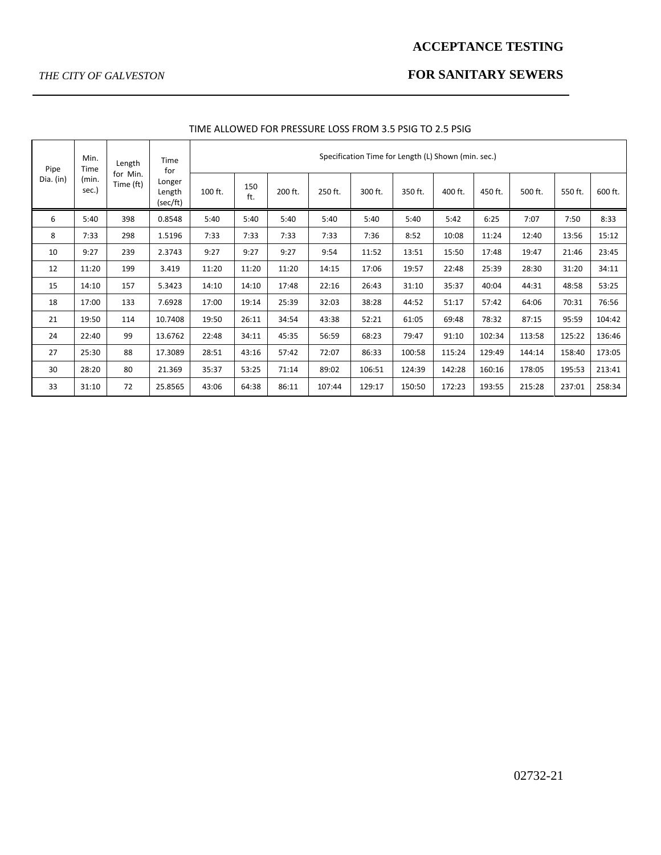## *THE CITY OF GALVESTON* **FOR SANITARY SEWERS**

| Pipe<br>Dia. (in) | Min.<br>Time<br>(min.<br>sec.) | Length<br>for Min.<br>Time (ft) | Time<br>for<br>Longer<br>Length<br>(sec/ft) | Specification Time for Length (L) Shown (min. sec.) |            |         |         |         |         |         |         |         |         |         |  |
|-------------------|--------------------------------|---------------------------------|---------------------------------------------|-----------------------------------------------------|------------|---------|---------|---------|---------|---------|---------|---------|---------|---------|--|
|                   |                                |                                 |                                             | 100 ft.                                             | 150<br>ft. | 200 ft. | 250 ft. | 300 ft. | 350 ft. | 400 ft. | 450 ft. | 500 ft. | 550 ft. | 600 ft. |  |
| 6                 | 5:40                           | 398                             | 0.8548                                      | 5:40                                                | 5:40       | 5:40    | 5:40    | 5:40    | 5:40    | 5:42    | 6:25    | 7:07    | 7:50    | 8:33    |  |
| 8                 | 7:33                           | 298                             | 1.5196                                      | 7:33                                                | 7:33       | 7:33    | 7:33    | 7:36    | 8:52    | 10:08   | 11:24   | 12:40   | 13:56   | 15:12   |  |
| 10                | 9:27                           | 239                             | 2.3743                                      | 9:27                                                | 9:27       | 9:27    | 9:54    | 11:52   | 13:51   | 15:50   | 17:48   | 19:47   | 21:46   | 23:45   |  |
| 12                | 11:20                          | 199                             | 3.419                                       | 11:20                                               | 11:20      | 11:20   | 14:15   | 17:06   | 19:57   | 22:48   | 25:39   | 28:30   | 31:20   | 34:11   |  |
| 15                | 14:10                          | 157                             | 5.3423                                      | 14:10                                               | 14:10      | 17:48   | 22:16   | 26:43   | 31:10   | 35:37   | 40:04   | 44:31   | 48:58   | 53:25   |  |
| 18                | 17:00                          | 133                             | 7.6928                                      | 17:00                                               | 19:14      | 25:39   | 32:03   | 38:28   | 44:52   | 51:17   | 57:42   | 64:06   | 70:31   | 76:56   |  |
| 21                | 19:50                          | 114                             | 10.7408                                     | 19:50                                               | 26:11      | 34:54   | 43:38   | 52:21   | 61:05   | 69:48   | 78:32   | 87:15   | 95:59   | 104:42  |  |
| 24                | 22:40                          | 99                              | 13.6762                                     | 22:48                                               | 34:11      | 45:35   | 56:59   | 68:23   | 79:47   | 91:10   | 102:34  | 113:58  | 125:22  | 136:46  |  |
| 27                | 25:30                          | 88                              | 17.3089                                     | 28:51                                               | 43:16      | 57:42   | 72:07   | 86:33   | 100:58  | 115:24  | 129:49  | 144:14  | 158:40  | 173:05  |  |
| 30                | 28:20                          | 80                              | 21.369                                      | 35:37                                               | 53:25      | 71:14   | 89:02   | 106:51  | 124:39  | 142:28  | 160:16  | 178:05  | 195:53  | 213:41  |  |
| 33                | 31:10                          | 72                              | 25.8565                                     | 43:06                                               | 64:38      | 86:11   | 107:44  | 129:17  | 150:50  | 172:23  | 193:55  | 215:28  | 237:01  | 258:34  |  |

### TIME ALLOWED FOR PRESSURE LOSS FROM 3.5 PSIG TO 2.5 PSIG